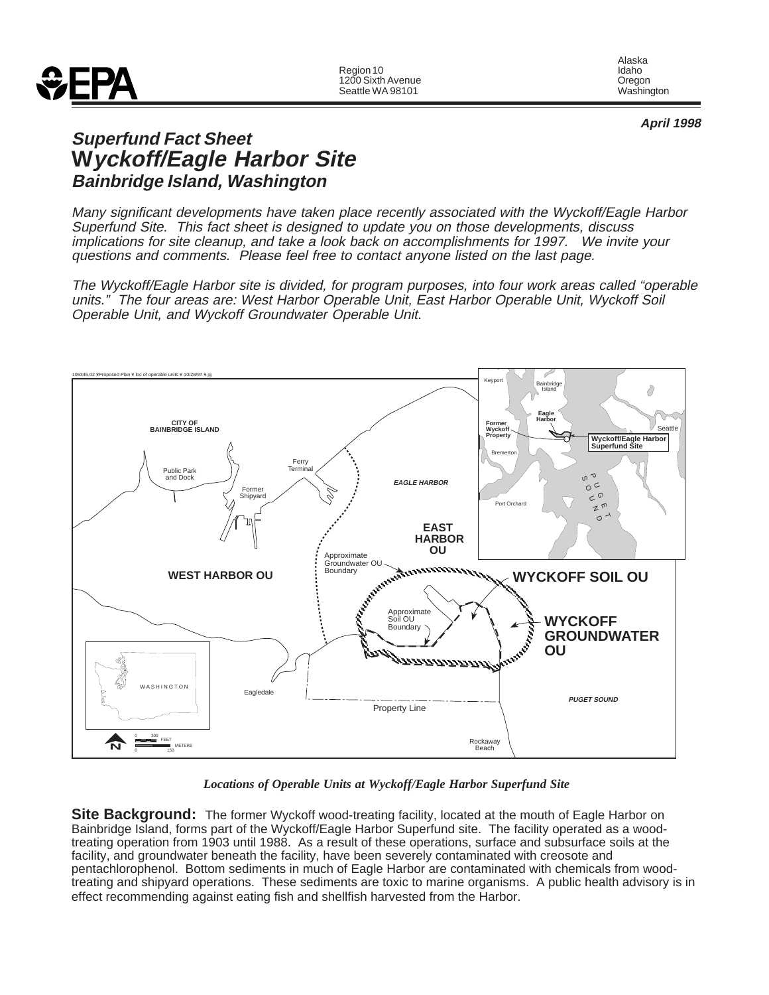

Alaska<br>Idaho

**April 1998**

# **Superfund Fact Sheet Wyckoff/Eagle Harbor Site Bainbridge Island, Washington**

Many significant developments have taken place recently associated with the Wyckoff/Eagle Harbor Superfund Site. This fact sheet is designed to update you on those developments, discuss implications for site cleanup, and take a look back on accomplishments for 1997. We invite your questions and comments. Please feel free to contact anyone listed on the last page.

The Wyckoff/Eagle Harbor site is divided, for program purposes, into four work areas called "operable units." The four areas are: West Harbor Operable Unit, East Harbor Operable Unit, Wyckoff Soil Operable Unit, and Wyckoff Groundwater Operable Unit.



*Locations of Operable Units at Wyckoff/Eagle Harbor Superfund Site*

**Site Background:** The former Wyckoff wood-treating facility, located at the mouth of Eagle Harbor on Bainbridge Island, forms part of the Wyckoff/Eagle Harbor Superfund site. The facility operated as a woodtreating operation from 1903 until 1988. As a result of these operations, surface and subsurface soils at the facility, and groundwater beneath the facility, have been severely contaminated with creosote and pentachlorophenol. Bottom sediments in much of Eagle Harbor are contaminated with chemicals from woodtreating and shipyard operations. These sediments are toxic to marine organisms. A public health advisory is in effect recommending against eating fish and shellfish harvested from the Harbor.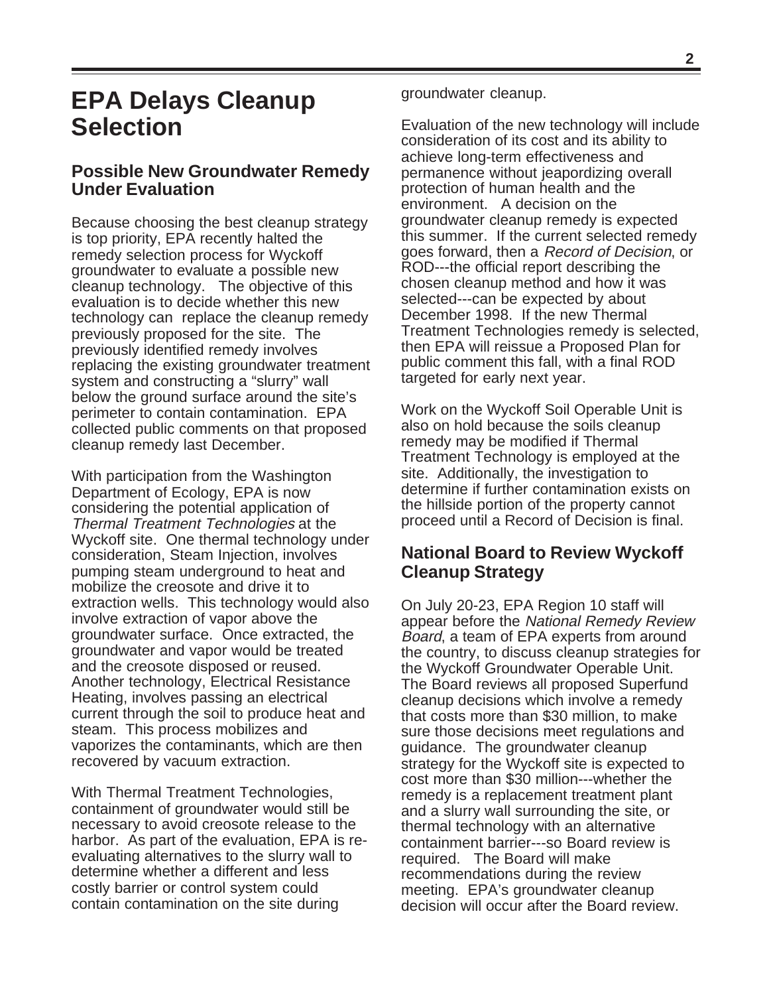# **EPA Delays Cleanup Selection**

## **Possible New Groundwater Remedy Under Evaluation**

Because choosing the best cleanup strategy is top priority, EPA recently halted the remedy selection process for Wyckoff groundwater to evaluate a possible new cleanup technology. The objective of this evaluation is to decide whether this new technology can replace the cleanup remedy previously proposed for the site. The previously identified remedy involves replacing the existing groundwater treatment system and constructing a "slurry" wall below the ground surface around the site's perimeter to contain contamination. EPA collected public comments on that proposed cleanup remedy last December.

With participation from the Washington Department of Ecology, EPA is now considering the potential application of Thermal Treatment Technologies at the Wyckoff site. One thermal technology under consideration, Steam Injection, involves pumping steam underground to heat and mobilize the creosote and drive it to extraction wells. This technology would also involve extraction of vapor above the groundwater surface. Once extracted, the groundwater and vapor would be treated and the creosote disposed or reused. Another technology, Electrical Resistance Heating, involves passing an electrical current through the soil to produce heat and steam. This process mobilizes and vaporizes the contaminants, which are then recovered by vacuum extraction.

With Thermal Treatment Technologies, containment of groundwater would still be necessary to avoid creosote release to the harbor. As part of the evaluation, EPA is reevaluating alternatives to the slurry wall to determine whether a different and less costly barrier or control system could contain contamination on the site during

groundwater cleanup.

Evaluation of the new technology will include consideration of its cost and its ability to achieve long-term effectiveness and permanence without jeapordizing overall protection of human health and the environment. A decision on the groundwater cleanup remedy is expected this summer. If the current selected remedy goes forward, then a Record of Decision, or ROD---the official report describing the chosen cleanup method and how it was selected---can be expected by about December 1998. If the new Thermal Treatment Technologies remedy is selected, then EPA will reissue a Proposed Plan for public comment this fall, with a final ROD targeted for early next year.

Work on the Wyckoff Soil Operable Unit is also on hold because the soils cleanup remedy may be modified if Thermal Treatment Technology is employed at the site. Additionally, the investigation to determine if further contamination exists on the hillside portion of the property cannot proceed until a Record of Decision is final.

## **National Board to Review Wyckoff Cleanup Strategy**

On July 20-23, EPA Region 10 staff will appear before the National Remedy Review Board, a team of EPA experts from around the country, to discuss cleanup strategies for the Wyckoff Groundwater Operable Unit. The Board reviews all proposed Superfund cleanup decisions which involve a remedy that costs more than \$30 million, to make sure those decisions meet regulations and guidance. The groundwater cleanup strategy for the Wyckoff site is expected to cost more than \$30 million---whether the remedy is a replacement treatment plant and a slurry wall surrounding the site, or thermal technology with an alternative containment barrier---so Board review is required. The Board will make recommendations during the review meeting. EPA's groundwater cleanup decision will occur after the Board review.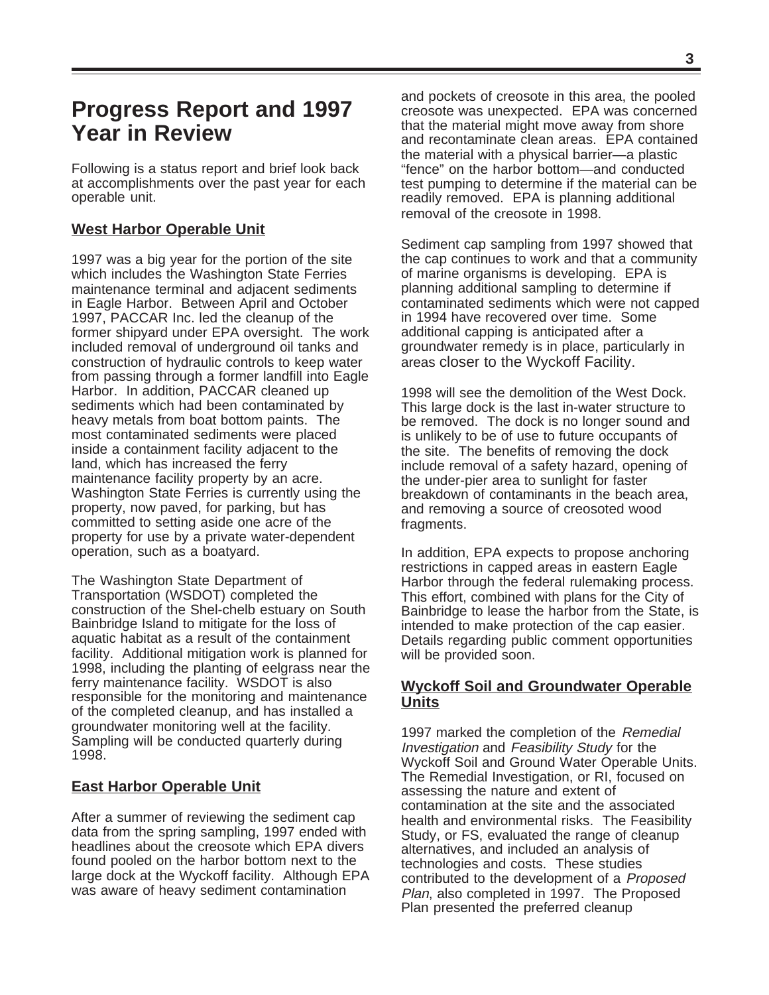# **Progress Report and 1997 Year in Review**

Following is a status report and brief look back at accomplishments over the past year for each operable unit.

## **West Harbor Operable Unit**

1997 was a big year for the portion of the site which includes the Washington State Ferries maintenance terminal and adjacent sediments in Eagle Harbor. Between April and October 1997, PACCAR Inc. led the cleanup of the former shipyard under EPA oversight. The work included removal of underground oil tanks and construction of hydraulic controls to keep water from passing through a former landfill into Eagle Harbor. In addition, PACCAR cleaned up sediments which had been contaminated by heavy metals from boat bottom paints. The most contaminated sediments were placed inside a containment facility adjacent to the land, which has increased the ferry maintenance facility property by an acre. Washington State Ferries is currently using the property, now paved, for parking, but has committed to setting aside one acre of the property for use by a private water-dependent operation, such as a boatyard.

The Washington State Department of Transportation (WSDOT) completed the construction of the Shel-chelb estuary on South Bainbridge Island to mitigate for the loss of aquatic habitat as a result of the containment facility. Additional mitigation work is planned for 1998, including the planting of eelgrass near the ferry maintenance facility. WSDOT is also responsible for the monitoring and maintenance of the completed cleanup, and has installed a groundwater monitoring well at the facility. Sampling will be conducted quarterly during 1998.

## **East Harbor Operable Unit**

After a summer of reviewing the sediment cap data from the spring sampling, 1997 ended with headlines about the creosote which EPA divers found pooled on the harbor bottom next to the large dock at the Wyckoff facility. Although EPA was aware of heavy sediment contamination

and pockets of creosote in this area, the pooled creosote was unexpected. EPA was concerned that the material might move away from shore and recontaminate clean areas. EPA contained the material with a physical barrier—a plastic "fence" on the harbor bottom—and conducted test pumping to determine if the material can be readily removed. EPA is planning additional removal of the creosote in 1998.

Sediment cap sampling from 1997 showed that the cap continues to work and that a community of marine organisms is developing. EPA is planning additional sampling to determine if contaminated sediments which were not capped in 1994 have recovered over time. Some additional capping is anticipated after a groundwater remedy is in place, particularly in areas closer to the Wyckoff Facility.

1998 will see the demolition of the West Dock. This large dock is the last in-water structure to be removed. The dock is no longer sound and is unlikely to be of use to future occupants of the site. The benefits of removing the dock include removal of a safety hazard, opening of the under-pier area to sunlight for faster breakdown of contaminants in the beach area, and removing a source of creosoted wood fragments.

In addition, EPA expects to propose anchoring restrictions in capped areas in eastern Eagle Harbor through the federal rulemaking process. This effort, combined with plans for the City of Bainbridge to lease the harbor from the State, is intended to make protection of the cap easier. Details regarding public comment opportunities will be provided soon.

### **Wyckoff Soil and Groundwater Operable Units**

1997 marked the completion of the Remedial Investigation and Feasibility Study for the Wyckoff Soil and Ground Water Operable Units. The Remedial Investigation, or RI, focused on assessing the nature and extent of contamination at the site and the associated health and environmental risks. The Feasibility Study, or FS, evaluated the range of cleanup alternatives, and included an analysis of technologies and costs. These studies contributed to the development of a Proposed Plan, also completed in 1997. The Proposed Plan presented the preferred cleanup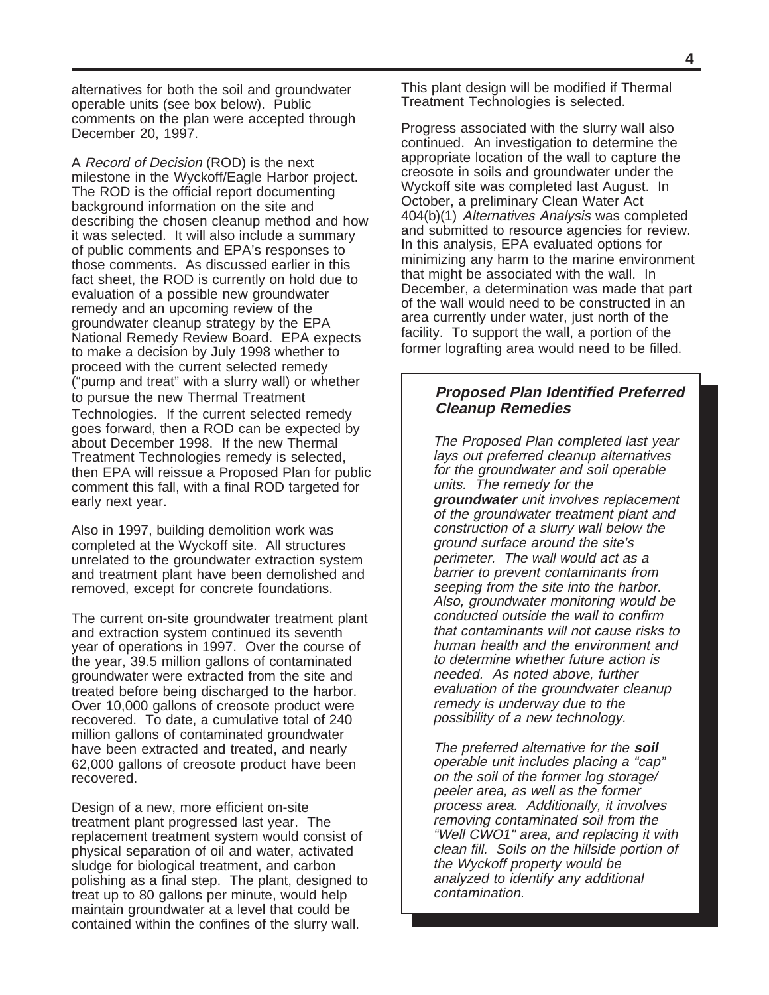alternatives for both the soil and groundwater operable units (see box below). Public comments on the plan were accepted through December 20, 1997.

Technologies. If the current selected remedy goes forward, then a ROD can be expected by about December 1998. If the new Thermal Treatment Technologies remedy is selected, then EPA will reissue a Proposed Plan for public comment this fall, with a final ROD targeted for early next year. A Record of Decision (ROD) is the next milestone in the Wyckoff/Eagle Harbor project. The ROD is the official report documenting background information on the site and describing the chosen cleanup method and how it was selected. It will also include a summary of public comments and EPA's responses to those comments. As discussed earlier in this fact sheet, the ROD is currently on hold due to evaluation of a possible new groundwater remedy and an upcoming review of the groundwater cleanup strategy by the EPA National Remedy Review Board. EPA expects to make a decision by July 1998 whether to proceed with the current selected remedy ("pump and treat" with a slurry wall) or whether to pursue the new Thermal Treatment

Also in 1997, building demolition work was completed at the Wyckoff site. All structures unrelated to the groundwater extraction system and treatment plant have been demolished and removed, except for concrete foundations.

The current on-site groundwater treatment plant and extraction system continued its seventh year of operations in 1997. Over the course of the year, 39.5 million gallons of contaminated groundwater were extracted from the site and treated before being discharged to the harbor. Over 10,000 gallons of creosote product were recovered. To date, a cumulative total of 240 million gallons of contaminated groundwater have been extracted and treated, and nearly 62,000 gallons of creosote product have been recovered.

Design of a new, more efficient on-site treatment plant progressed last year. The replacement treatment system would consist of physical separation of oil and water, activated sludge for biological treatment, and carbon polishing as a final step. The plant, designed to treat up to 80 gallons per minute, would help maintain groundwater at a level that could be contained within the confines of the slurry wall.

This plant design will be modified if Thermal Treatment Technologies is selected.

Progress associated with the slurry wall also continued. An investigation to determine the appropriate location of the wall to capture the creosote in soils and groundwater under the Wyckoff site was completed last August. In October, a preliminary Clean Water Act 404(b)(1) Alternatives Analysis was completed and submitted to resource agencies for review. In this analysis, EPA evaluated options for minimizing any harm to the marine environment that might be associated with the wall. In December, a determination was made that part of the wall would need to be constructed in an area currently under water, just north of the facility. To support the wall, a portion of the former lografting area would need to be filled.

### **Proposed Plan Identified Preferred Cleanup Remedies**

The Proposed Plan completed last year lays out preferred cleanup alternatives for the groundwater and soil operable units. The remedy for the **groundwater** unit involves replacement of the groundwater treatment plant and construction of a slurry wall below the ground surface around the site's perimeter. The wall would act as a barrier to prevent contaminants from seeping from the site into the harbor. Also, groundwater monitoring would be conducted outside the wall to confirm that contaminants will not cause risks to human health and the environment and to determine whether future action is needed. As noted above, further evaluation of the groundwater cleanup remedy is underway due to the possibility of a new technology.

The preferred alternative for the **soil** operable unit includes placing a "cap" on the soil of the former log storage/ peeler area, as well as the former process area. Additionally, it involves removing contaminated soil from the "Well CWO1" area, and replacing it with clean fill. Soils on the hillside portion of the Wyckoff property would be analyzed to identify any additional contamination.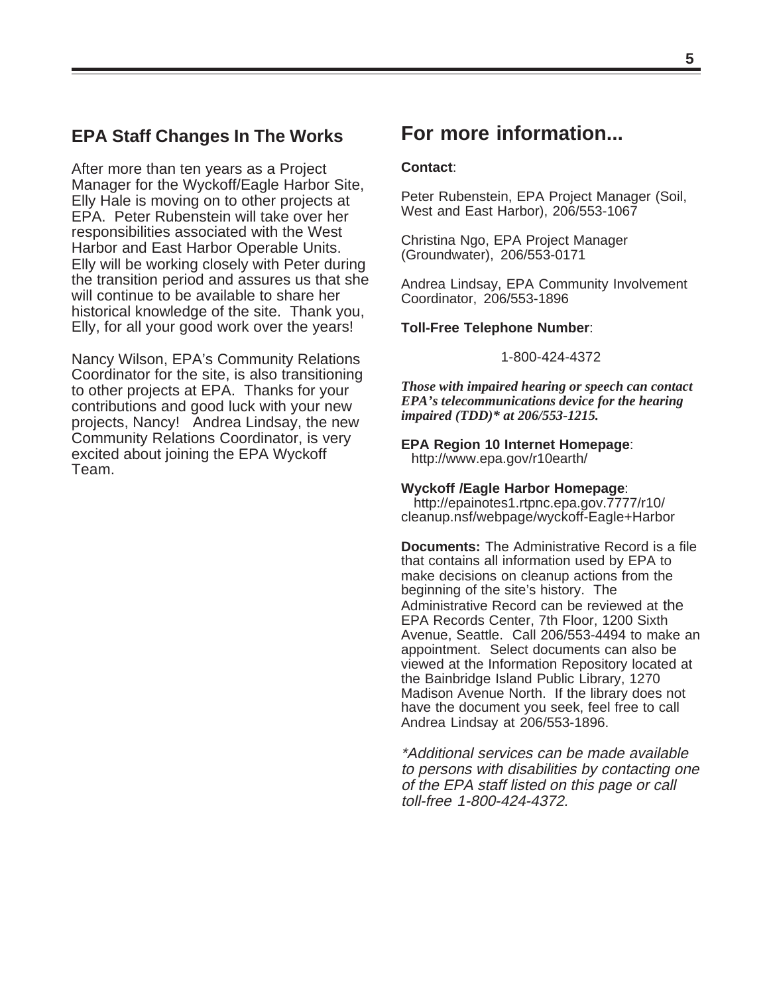## **EPA Staff Changes In The Works**

After more than ten years as a Project Manager for the Wyckoff/Eagle Harbor Site, Elly Hale is moving on to other projects at EPA. Peter Rubenstein will take over her responsibilities associated with the West Harbor and East Harbor Operable Units. Elly will be working closely with Peter during the transition period and assures us that she will continue to be available to share her historical knowledge of the site. Thank you, Elly, for all your good work over the years!

Nancy Wilson, EPA's Community Relations Coordinator for the site, is also transitioning to other projects at EPA. Thanks for your contributions and good luck with your new projects, Nancy! Andrea Lindsay, the new Community Relations Coordinator, is very excited about joining the EPA Wyckoff Team.

# **For more information...**

#### **Contact**:

Peter Rubenstein, EPA Project Manager (Soil, West and East Harbor), 206/553-1067

Christina Ngo, EPA Project Manager (Groundwater), 206/553-0171

Andrea Lindsay, EPA Community Involvement Coordinator, 206/553-1896

#### **Toll-Free Telephone Number**:

1-800-424-4372

*Those with impaired hearing or speech can contact EPA's telecommunications device for the hearing impaired (TDD)\* at 206/553-1215.*

#### **EPA Region 10 Internet Homepage**: http://www.epa.gov/r10earth/

#### **Wyckoff /Eagle Harbor Homepage**:

 http://epainotes1.rtpnc.epa.gov.7777/r10/ cleanup.nsf/webpage/wyckoff-Eagle+Harbor

**Documents:** The Administrative Record is a file that contains all information used by EPA to make decisions on cleanup actions from the beginning of the site's history. The Administrative Record can be reviewed at the EPA Records Center, 7th Floor, 1200 Sixth Avenue, Seattle. Call 206/553-4494 to make an appointment. Select documents can also be viewed at the Information Repository located at the Bainbridge Island Public Library, 1270 Madison Avenue North. If the library does not have the document you seek, feel free to call Andrea Lindsay at 206/553-1896.

\*Additional services can be made available to persons with disabilities by contacting one of the EPA staff listed on this page or call toll-free 1-800-424-4372.